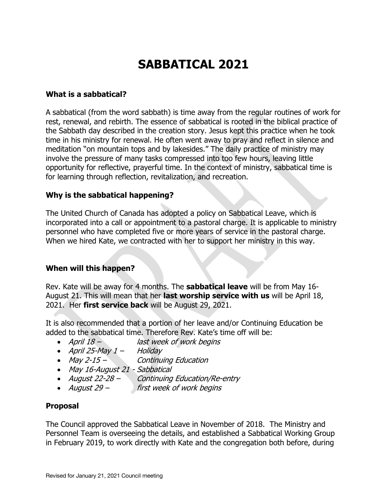# **SABBATICAL 2021**

#### **What is a sabbatical?**

A sabbatical (from the word sabbath) is time away from the regular routines of work for rest, renewal, and rebirth. The essence of sabbatical is rooted in the biblical practice of the Sabbath day described in the creation story. Jesus kept this practice when he took time in his ministry for renewal. He often went away to pray and reflect in silence and meditation "on mountain tops and by lakesides." The daily practice of ministry may involve the pressure of many tasks compressed into too few hours, leaving little opportunity for reflective, prayerful time. In the context of ministry, sabbatical time is for learning through reflection, revitalization, and recreation.

### **Why is the sabbatical happening?**

The United Church of Canada has adopted a policy on Sabbatical Leave, which is incorporated into a call or appointment to a pastoral charge. It is applicable to ministry personnel who have completed five or more years of service in the pastoral charge. When we hired Kate, we contracted with her to support her ministry in this way.

## **When will this happen?**

Rev. Kate will be away for 4 months. The **sabbatical leave** will be from May 16- August 21. This will mean that her **last worship service with us** will be April 18, 2021. Her **first service back** will be August 29, 2021.

It is also recommended that a portion of her leave and/or Continuing Education be added to the sabbatical time. Therefore Rev. Kate's time off will be:

- April 18 last week of work begins
- April 25-May  $1 -$  Holiday
- May 2-15 Continuing Education
- May 16-August 21 Sabbatical
- August 22-28 Continuing Education/Re-entry
- August 29 first week of work begins

## **Proposal**

The Council approved the Sabbatical Leave in November of 2018. The Ministry and Personnel Team is overseeing the details, and established a Sabbatical Working Group in February 2019, to work directly with Kate and the congregation both before, during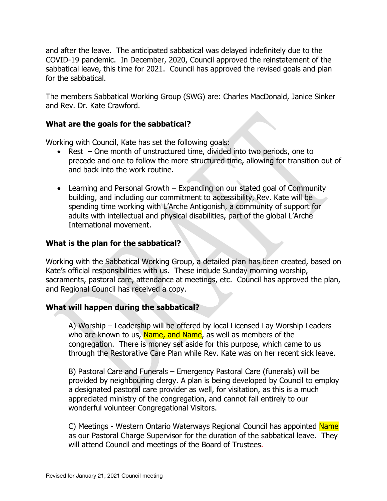and after the leave. The anticipated sabbatical was delayed indefinitely due to the COVID-19 pandemic. In December, 2020, Council approved the reinstatement of the sabbatical leave, this time for 2021. Council has approved the revised goals and plan for the sabbatical.

The members Sabbatical Working Group (SWG) are: Charles MacDonald, Janice Sinker and Rev. Dr. Kate Crawford.

#### **What are the goals for the sabbatical?**

Working with Council, Kate has set the following goals:

- Rest One month of unstructured time, divided into two periods, one to precede and one to follow the more structured time, allowing for transition out of and back into the work routine.
- Learning and Personal Growth Expanding on our stated goal of Community building, and including our commitment to accessibility, Rev. Kate will be spending time working with L'Arche Antigonish, a community of support for adults with intellectual and physical disabilities, part of the global L'Arche International movement.

#### **What is the plan for the sabbatical?**

Working with the Sabbatical Working Group, a detailed plan has been created, based on Kate's official responsibilities with us. These include Sunday morning worship, sacraments, pastoral care, attendance at meetings, etc. Council has approved the plan, and Regional Council has received a copy.

#### **What will happen during the sabbatical?**

A) Worship – Leadership will be offered by local Licensed Lay Worship Leaders who are known to us, Name, and Name, as well as members of the congregation. There is money set aside for this purpose, which came to us through the Restorative Care Plan while Rev. Kate was on her recent sick leave.

B) Pastoral Care and Funerals – Emergency Pastoral Care (funerals) will be provided by neighbouring clergy. A plan is being developed by Council to employ a designated pastoral care provider as well, for visitation, as this is a much appreciated ministry of the congregation, and cannot fall entirely to our wonderful volunteer Congregational Visitors.

C) Meetings - Western Ontario Waterways Regional Council has appointed Name as our Pastoral Charge Supervisor for the duration of the sabbatical leave. They will attend Council and meetings of the Board of Trustees.